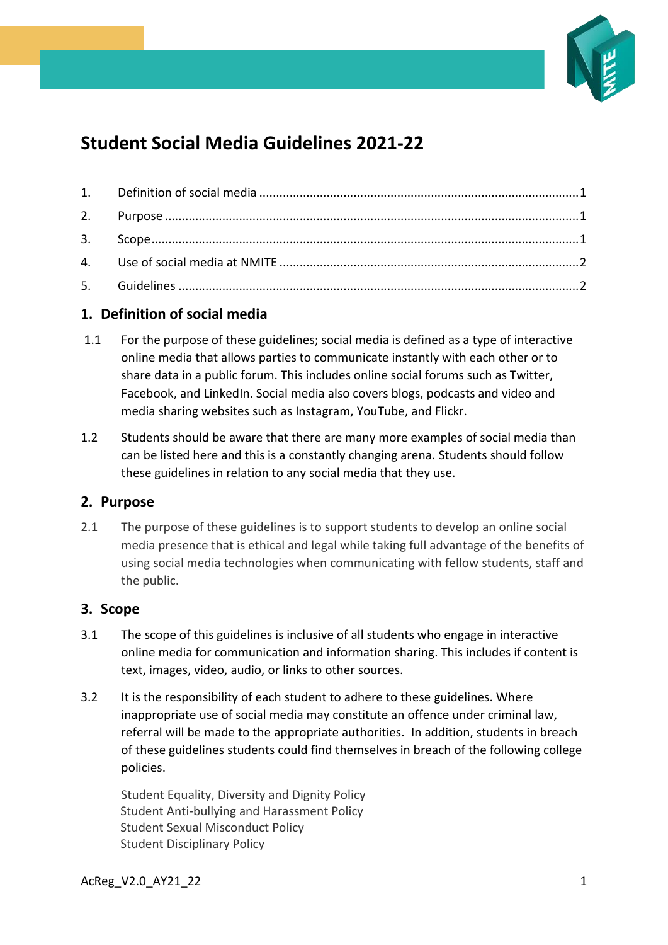

# **Student Social Media Guidelines 2021-22**

## <span id="page-0-0"></span>**1. Definition of social media**

- 1.1 For the purpose of these guidelines; social media is defined as a type of interactive online media that allows parties to communicate instantly with each other or to share data in a public forum. This includes online social forums such as Twitter, Facebook, and LinkedIn. Social media also covers blogs, podcasts and video and media sharing websites such as Instagram, YouTube, and Flickr.
- 1.2 Students should be aware that there are many more examples of social media than can be listed here and this is a constantly changing arena. Students should follow these guidelines in relation to any social media that they use.

## <span id="page-0-1"></span>**2. Purpose**

2.1 The purpose of these guidelines is to support students to develop an online social media presence that is ethical and legal while taking full advantage of the benefits of using social media technologies when communicating with fellow students, staff and the public.

#### <span id="page-0-2"></span>**3. Scope**

- 3.1 The scope of this guidelines is inclusive of all students who engage in interactive online media for communication and information sharing. This includes if content is text, images, video, audio, or links to other sources.
- 3.2 It is the responsibility of each student to adhere to these guidelines. Where inappropriate use of social media may constitute an offence under criminal law, referral will be made to the appropriate authorities. In addition, students in breach of these guidelines students could find themselves in breach of the following college policies.

Student Equality, Diversity and Dignity Policy Student Anti-bullying and Harassment Policy Student Sexual Misconduct Policy Student Disciplinary Policy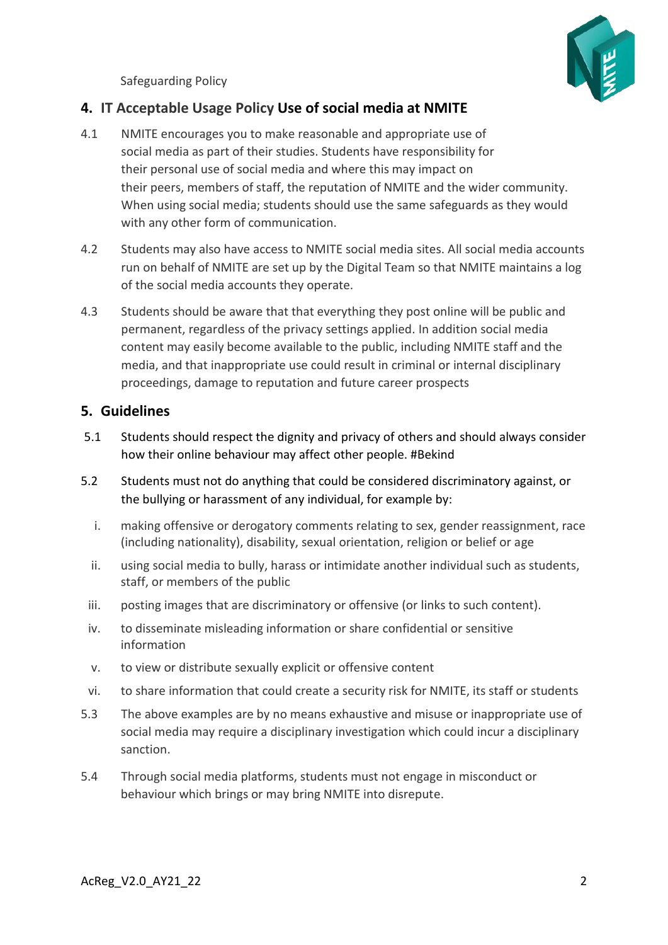<span id="page-1-0"></span>Safeguarding Policy

# **4. IT Acceptable Usage Policy Use of social media at NMITE**

- 4.1 NMITE encourages you to make reasonable and appropriate use of social media as part of their studies. Students have responsibility for their personal use of social media and where this may impact on their peers, members of staff, the reputation of NMITE and the wider community. When using social media; students should use the same safeguards as they would with any other form of communication.
- 4.2 Students may also have access to NMITE social media sites. All social media accounts run on behalf of NMITE are set up by the Digital Team so that NMITE maintains a log of the social media accounts they operate.
- 4.3 Students should be aware that that everything they post online will be public and permanent, regardless of the privacy settings applied. In addition social media content may easily become available to the public, including NMITE staff and the media, and that inappropriate use could result in criminal or internal disciplinary proceedings, damage to reputation and future career prospects

## <span id="page-1-1"></span>**5. Guidelines**

- 5.1 Students should respect the dignity and privacy of others and should always consider how their online behaviour may affect other people. #Bekind
- 5.2 Students must not do anything that could be considered discriminatory against, or the bullying or harassment of any individual, for example by:
	- i. making offensive or derogatory comments relating to sex, gender reassignment, race (including nationality), disability, sexual orientation, religion or belief or age
	- ii. using social media to bully, harass or intimidate another individual such as students, staff, or members of the public
	- iii. posting images that are discriminatory or offensive (or links to such content).
	- iv. to disseminate misleading information or share confidential or sensitive information
	- v. to view or distribute sexually explicit or offensive content
- vi. to share information that could create a security risk for NMITE, its staff or students
- 5.3 The above examples are by no means exhaustive and misuse or inappropriate use of social media may require a disciplinary investigation which could incur a disciplinary sanction.
- 5.4 Through social media platforms, students must not engage in misconduct or behaviour which brings or may bring NMITE into disrepute.